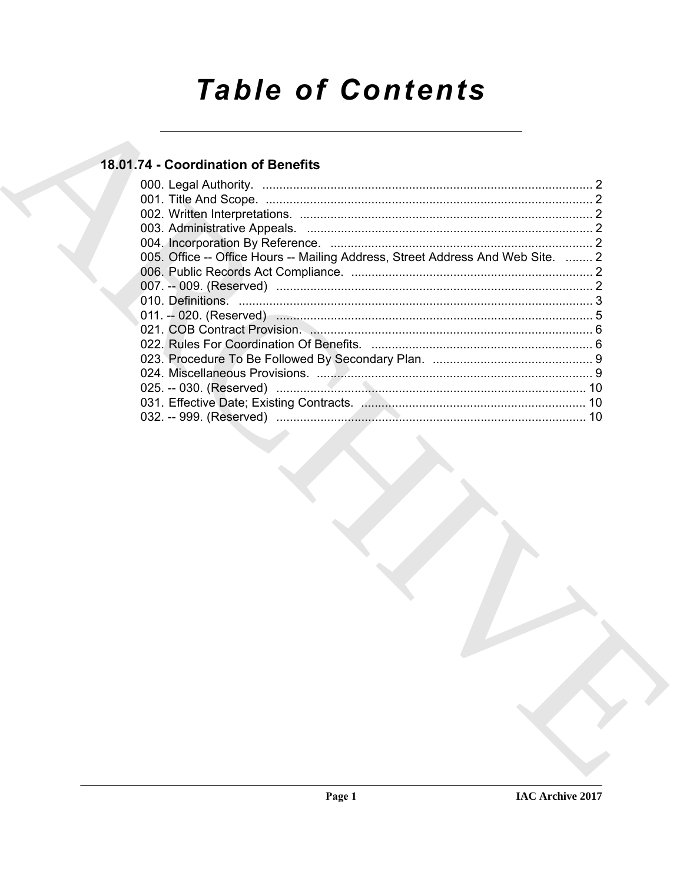# **Table of Contents**

### 18.01.74 - Coordination of Benefits

| 005. Office -- Office Hours -- Mailing Address, Street Address And Web Site.  2 |    |
|---------------------------------------------------------------------------------|----|
|                                                                                 |    |
|                                                                                 |    |
|                                                                                 |    |
| 011. -- 020. (Reserved) ………………………………………………………………………………………5                      |    |
|                                                                                 |    |
|                                                                                 |    |
|                                                                                 |    |
|                                                                                 |    |
|                                                                                 | 10 |
|                                                                                 |    |
|                                                                                 | 10 |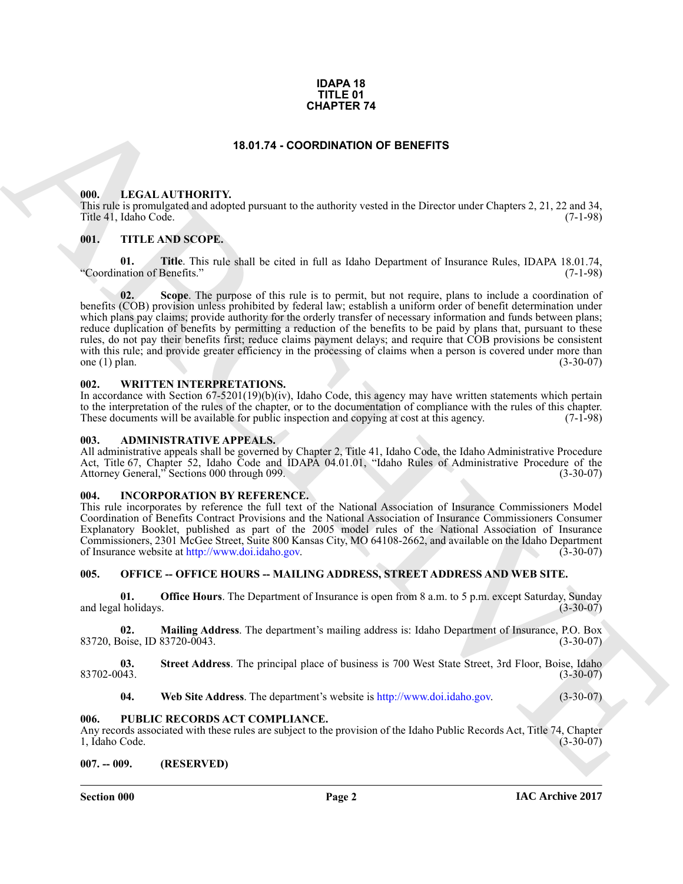#### **IDAPA 18 TITLE 01 CHAPTER 74**

#### **18.01.74 - COORDINATION OF BENEFITS**

#### <span id="page-1-1"></span><span id="page-1-0"></span>**000. LEGAL AUTHORITY.**

This rule is promulgated and adopted pursuant to the authority vested in the Director under Chapters 2, 21, 22 and 34, Title 41, Idaho Code. (7-1-98)

#### <span id="page-1-2"></span>**001. TITLE AND SCOPE.**

**01. Title**. This rule shall be cited in full as Idaho Department of Insurance Rules, IDAPA 18.01.74, "Coordination of Benefits."

**C[H](http://www.doi.idaho.gov)APTERY 44**<br> **CHARCH MITTONITY:**<br> **CHARCH MITTONITY:**<br> **CHARCH MITTONITY:**<br> **CHARCH MITTONITY:**<br> **CHARCH MITTONITY:**<br> **CHARCH MITTONITY:**<br> **CHARCH MITTONITY:**<br> **CHARCH MITTONITY:**<br> **CHARCH MITTONITY:**<br> **CARCH MITTON SCO 02. Scope**. The purpose of this rule is to permit, but not require, plans to include a coordination of benefits (COB) provision unless prohibited by federal law; establish a uniform order of benefit determination under which plans pay claims; provide authority for the orderly transfer of necessary information and funds between plans; reduce duplication of benefits by permitting a reduction of the benefits to be paid by plans that, pursuant to these rules, do not pay their benefits first; reduce claims payment delays; and require that COB provisions be consistent with this rule; and provide greater efficiency in the processing of claims when a person is covered under more than one (1) plan. (3-30-07) one (1) plan.  $(3-30-07)$ 

#### <span id="page-1-3"></span>**002. WRITTEN INTERPRETATIONS.**

In accordance with Section 67-5201(19)(b)(iv), Idaho Code, this agency may have written statements which pertain to the interpretation of the rules of the chapter, or to the documentation of compliance with the rules of this chapter. These documents will be available for public inspection and copying at cost at this agency. (7-1-98)

#### <span id="page-1-4"></span>**003. ADMINISTRATIVE APPEALS.**

All administrative appeals shall be governed by Chapter 2, Title 41, Idaho Code, the Idaho Administrative Procedure Act, Title 67, Chapter 52, Idaho Čode and IDAPA 04.01.01, "Idaho Rules of Administrative Procedure of the Attorney General," Sections 000 through 099. Attorney General," Sections 000 through 099.

#### <span id="page-1-5"></span>**004. INCORPORATION BY REFERENCE.**

This rule incorporates by reference the full text of the National Association of Insurance Commissioners Model Coordination of Benefits Contract Provisions and the National Association of Insurance Commissioners Consumer Explanatory Booklet, published as part of the 2005 model rules of the National Association of Insurance Commissioners, 2301 McGee Street, Suite 800 Kansas City, MO 64108-2662, and available on the Idaho Department of Insurance website at http://www.doi.idaho.gov. (3-30-07)

#### <span id="page-1-6"></span>**005. OFFICE -- OFFICE HOURS -- MAILING ADDRESS, STREET ADDRESS AND WEB SITE.**

**01. Office Hours**. The Department of Insurance is open from 8 a.m. to 5 p.m. except Saturday, Sunday (1-30-07) and legal holidays.

**02. Mailing Address**. The department's mailing address is: Idaho Department of Insurance, P.O. Box 83720, Boise, ID 83720-0043.

**03.** Street Address. The principal place of business is 700 West State Street, 3rd Floor, Boise, Idaho (3-30-07) 83702-0043.

**04. Web Site Address**. The department's website is http://www.doi.idaho.gov. (3-30-07)

#### <span id="page-1-7"></span>**006. PUBLIC RECORDS ACT COMPLIANCE.**

Any records associated with these rules are subject to the provision of the Idaho Public Records Act, Title 74, Chapter 1, Idaho Code. (3-30-07) 1, Idaho Code.

#### <span id="page-1-8"></span>**007. -- 009. (RESERVED)**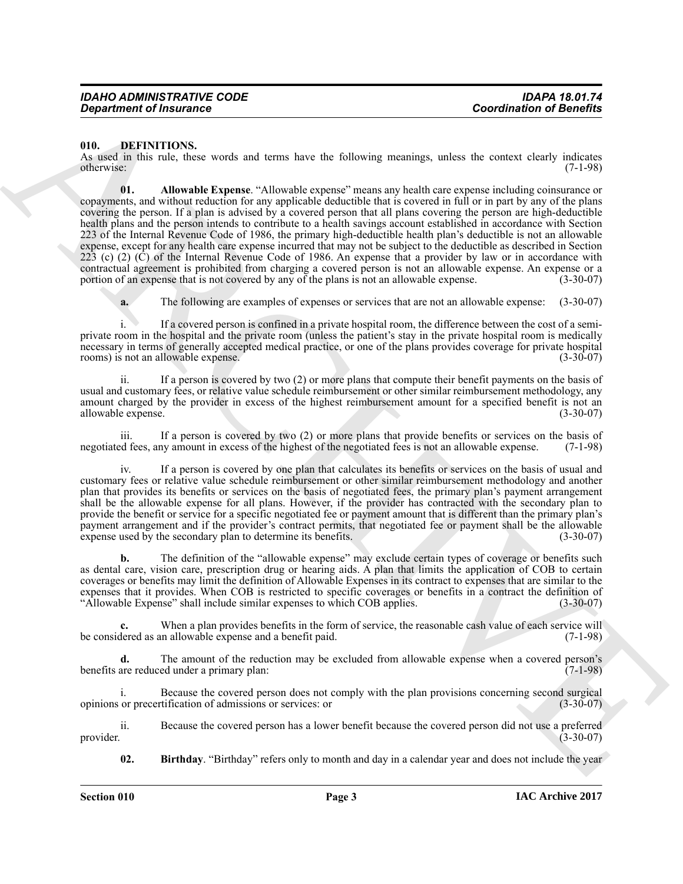#### <span id="page-2-1"></span><span id="page-2-0"></span>**010. DEFINITIONS.**

<span id="page-2-2"></span>As used in this rule, these words and terms have the following meanings, unless the context clearly indicates otherwise: (7-1-98) otherwise: (7-1-98)

**Continue of fractures**<br> **Continue of Fracture Continue of Fracture Continue of Fracture Continue of Fracture Continue of Science Continue of Fracture Continue of Fracture Continue of Fracture Continue of Fracture Continu 01. Allowable Expense**. "Allowable expense" means any health care expense including coinsurance or copayments, and without reduction for any applicable deductible that is covered in full or in part by any of the plans covering the person. If a plan is advised by a covered person that all plans covering the person are high-deductible health plans and the person intends to contribute to a health savings account established in accordance with Section 223 of the Internal Revenue Code of 1986, the primary high-deductible health plan's deductible is not an allowable expense, except for any health care expense incurred that may not be subject to the deductible as described in Section  $223$  (c) (2) (C) of the Internal Revenue Code of 1986. An expense that a provider by law or in accordance with contractual agreement is prohibited from charging a covered person is not an allowable expense. An expense or a portion of an expense that is not covered by any of the plans is not an allowable expense. (3-30-07) portion of an expense that is not covered by any of the plans is not an allowable expense.

**a.** The following are examples of expenses or services that are not an allowable expense: (3-30-07)

i. If a covered person is confined in a private hospital room, the difference between the cost of a semiprivate room in the hospital and the private room (unless the patient's stay in the private hospital room is medically necessary in terms of generally accepted medical practice, or one of the plans provides coverage for private hospital rooms) is not an allowable expense. rooms) is not an allowable expense.

ii. If a person is covered by two (2) or more plans that compute their benefit payments on the basis of usual and customary fees, or relative value schedule reimbursement or other similar reimbursement methodology, any amount charged by the provider in excess of the highest reimbursement amount for a specified benefit is not an allowable expense. (3-30-07) allowable expense.

iii. If a person is covered by two  $(2)$  or more plans that provide benefits or services on the basis of deta fees, any amount in excess of the highest of the negotiated fees is not an allowable expense.  $(7-1-98)$ negotiated fees, any amount in excess of the highest of the negotiated fees is not an allowable expense.

If a person is covered by one plan that calculates its benefits or services on the basis of usual and customary fees or relative value schedule reimbursement or other similar reimbursement methodology and another plan that provides its benefits or services on the basis of negotiated fees, the primary plan's payment arrangement shall be the allowable expense for all plans. However, if the provider has contracted with the secondary plan to provide the benefit or service for a specific negotiated fee or payment amount that is different than the primary plan's payment arrangement and if the provider's contract permits, that negotiated fee or payment shall be the allowable expense used by the secondary plan to determine its benefits. (3-30-07)

The definition of the "allowable expense" may exclude certain types of coverage or benefits such as dental care, vision care, prescription drug or hearing aids. A plan that limits the application of COB to certain coverages or benefits may limit the definition of Allowable Expenses in its contract to expenses that are similar to the expenses that it provides. When COB is restricted to specific coverages or benefits in a contract the definition of "Allowable Expense" shall include similar expenses to which COB applies. (3-30-07)

When a plan provides benefits in the form of service, the reasonable cash value of each service will<br>in allowable expense and a benefit paid. (7-1-98) be considered as an allowable expense and a benefit paid.

The amount of the reduction may be excluded from allowable expense when a covered person's ed under a primary plan: (7-1-98) benefits are reduced under a primary plan:

i. Because the covered person does not comply with the plan provisions concerning second surgical opinions or precertification of admissions or services: or (3-30-07)

ii. Because the covered person has a lower benefit because the covered person did not use a preferred provider.  $(3-30-07)$ 

<span id="page-2-3"></span>**02. Birthday**. "Birthday" refers only to month and day in a calendar year and does not include the year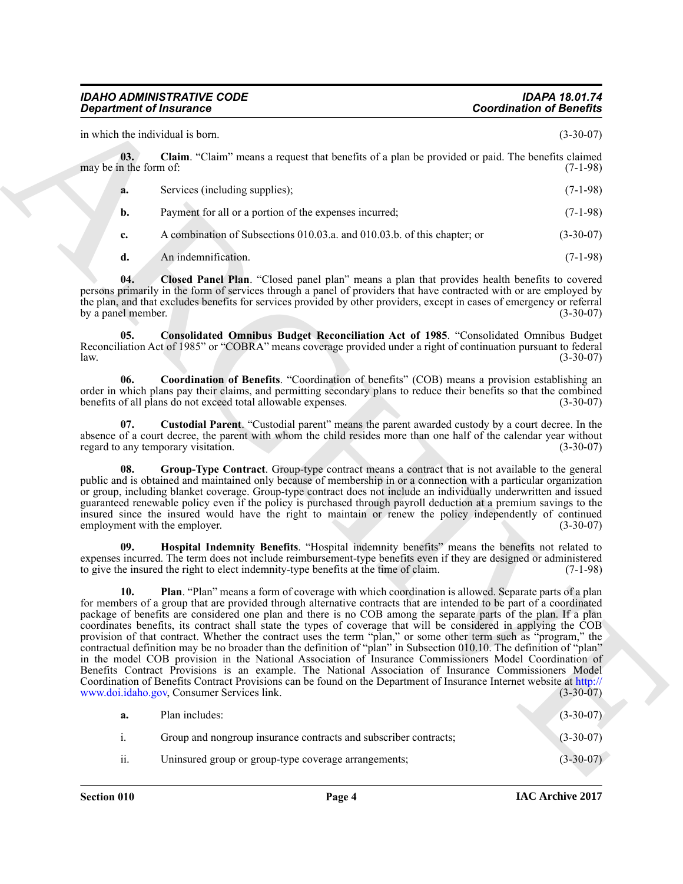#### <span id="page-3-3"></span><span id="page-3-2"></span><span id="page-3-1"></span><span id="page-3-0"></span>*IDAHO ADMINISTRATIVE CODE IDAPA 18.01.74 Department of Insurance*

| <b>Department of Insurance</b>                                                                                                                                                                                                                                                                                                                                                                                                                                                                                                                                                                                                                                                                                                                                                                                                                                                                                                                                                                            | <b>Coordination of Benefits</b>                                                                                    |
|-----------------------------------------------------------------------------------------------------------------------------------------------------------------------------------------------------------------------------------------------------------------------------------------------------------------------------------------------------------------------------------------------------------------------------------------------------------------------------------------------------------------------------------------------------------------------------------------------------------------------------------------------------------------------------------------------------------------------------------------------------------------------------------------------------------------------------------------------------------------------------------------------------------------------------------------------------------------------------------------------------------|--------------------------------------------------------------------------------------------------------------------|
| in which the individual is born.                                                                                                                                                                                                                                                                                                                                                                                                                                                                                                                                                                                                                                                                                                                                                                                                                                                                                                                                                                          | $(3-30-07)$                                                                                                        |
| 03.<br>may be in the form of:                                                                                                                                                                                                                                                                                                                                                                                                                                                                                                                                                                                                                                                                                                                                                                                                                                                                                                                                                                             | Claim. "Claim" means a request that benefits of a plan be provided or paid. The benefits claimed<br>$(7-1-98)$     |
| Services (including supplies);<br>a.                                                                                                                                                                                                                                                                                                                                                                                                                                                                                                                                                                                                                                                                                                                                                                                                                                                                                                                                                                      | $(7-1-98)$                                                                                                         |
| Payment for all or a portion of the expenses incurred;<br>b.                                                                                                                                                                                                                                                                                                                                                                                                                                                                                                                                                                                                                                                                                                                                                                                                                                                                                                                                              | $(7-1-98)$                                                                                                         |
| A combination of Subsections 010.03.a. and 010.03.b. of this chapter; or<br>c.                                                                                                                                                                                                                                                                                                                                                                                                                                                                                                                                                                                                                                                                                                                                                                                                                                                                                                                            | $(3-30-07)$                                                                                                        |
| An indemnification.<br>d.                                                                                                                                                                                                                                                                                                                                                                                                                                                                                                                                                                                                                                                                                                                                                                                                                                                                                                                                                                                 | $(7-1-98)$                                                                                                         |
| 04.<br>persons primarily in the form of services through a panel of providers that have contracted with or are employed by<br>the plan, and that excludes benefits for services provided by other providers, except in cases of emergency or referral<br>by a panel member.                                                                                                                                                                                                                                                                                                                                                                                                                                                                                                                                                                                                                                                                                                                               | Closed Panel Plan. "Closed panel plan" means a plan that provides health benefits to covered<br>$(3-30-07)$        |
| 05.<br>Reconciliation Act of 1985" or "COBRA" means coverage provided under a right of continuation pursuant to federal<br>law.                                                                                                                                                                                                                                                                                                                                                                                                                                                                                                                                                                                                                                                                                                                                                                                                                                                                           | Consolidated Omnibus Budget Reconciliation Act of 1985. "Consolidated Omnibus Budget<br>$(3-30-07)$                |
| 06.<br>order in which plans pay their claims, and permitting secondary plans to reduce their benefits so that the combined<br>benefits of all plans do not exceed total allowable expenses.                                                                                                                                                                                                                                                                                                                                                                                                                                                                                                                                                                                                                                                                                                                                                                                                               | <b>Coordination of Benefits.</b> "Coordination of benefits" (COB) means a provision establishing an<br>$(3-30-07)$ |
| 07.<br>absence of a court decree, the parent with whom the child resides more than one half of the calendar year without<br>regard to any temporary visitation.                                                                                                                                                                                                                                                                                                                                                                                                                                                                                                                                                                                                                                                                                                                                                                                                                                           | Custodial Parent. "Custodial parent" means the parent awarded custody by a court decree. In the<br>$(3-30-07)$     |
| 08.<br>public and is obtained and maintained only because of membership in or a connection with a particular organization<br>or group, including blanket coverage. Group-type contract does not include an individually underwritten and issued<br>guaranteed renewable policy even if the policy is purchased through payroll deduction at a premium savings to the<br>insured since the insured would have the right to maintain or renew the policy independently of continued<br>employment with the employer.                                                                                                                                                                                                                                                                                                                                                                                                                                                                                        | Group-Type Contract. Group-type contract means a contract that is not available to the general<br>$(3-30-07)$      |
| 09.<br>expenses incurred. The term does not include reimbursement-type benefits even if they are designed or administered<br>to give the insured the right to elect indemnity-type benefits at the time of claim.                                                                                                                                                                                                                                                                                                                                                                                                                                                                                                                                                                                                                                                                                                                                                                                         | Hospital Indemnity Benefits. "Hospital indemnity benefits" means the benefits not related to<br>$(7-1-98)$         |
| 10.<br>for members of a group that are provided through alternative contracts that are intended to be part of a coordinated<br>package of benefits are considered one plan and there is no COB among the separate parts of the plan. If a plan<br>coordinates benefits, its contract shall state the types of coverage that will be considered in applying the COB<br>provision of that contract. Whether the contract uses the term "plan," or some other term such as "program," the<br>contractual definition may be no broader than the definition of "plan" in Subsection 010.10. The definition of "plan"<br>in the model COB provision in the National Association of Insurance Commissioners Model Coordination of<br>Benefits Contract Provisions is an example. The National Association of Insurance Commissioners Model<br>Coordination of Benefits Contract Provisions can be found on the Department of Insurance Internet website at http://<br>www.doi.idaho.gov, Consumer Services link. | Plan. "Plan" means a form of coverage with which coordination is allowed. Separate parts of a plan<br>$(3-30-07)$  |
| Plan includes:<br>a.                                                                                                                                                                                                                                                                                                                                                                                                                                                                                                                                                                                                                                                                                                                                                                                                                                                                                                                                                                                      | $(3-30-07)$                                                                                                        |
| $\mathbf{i}$ .<br>Group and nongroup insurance contracts and subscriber contracts;                                                                                                                                                                                                                                                                                                                                                                                                                                                                                                                                                                                                                                                                                                                                                                                                                                                                                                                        | $(3-30-07)$                                                                                                        |
| ii.<br>Uninsured group or group-type coverage arrangements;                                                                                                                                                                                                                                                                                                                                                                                                                                                                                                                                                                                                                                                                                                                                                                                                                                                                                                                                               | $(3-30-07)$                                                                                                        |

<span id="page-3-7"></span><span id="page-3-6"></span><span id="page-3-5"></span><span id="page-3-4"></span>

| a.  | Plan includes:                                                   | $(3-30-07)$ |
|-----|------------------------------------------------------------------|-------------|
| 1.  | Group and nongroup insurance contracts and subscriber contracts; | $(3-30-07)$ |
| ii. | Uninsured group or group-type coverage arrangements;             | $(3-30-07)$ |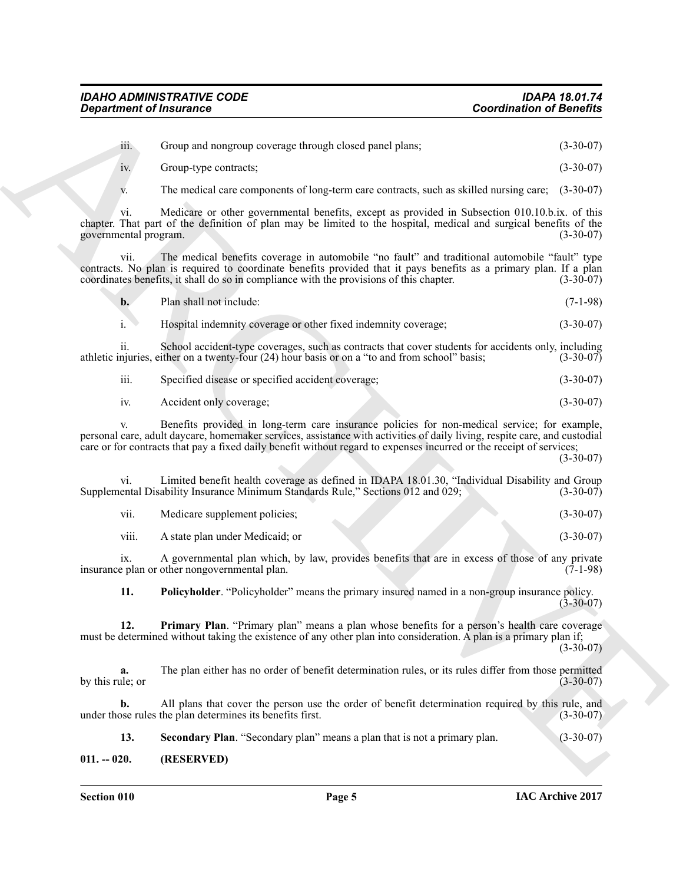iii. Group and nongroup coverage through closed panel plans; (3-30-07)

iv. Group-type contracts; (3-30-07)

v. The medical care components of long-term care contracts, such as skilled nursing care; (3-30-07)

**Continuation of Francesco Controllers** Controllers and particles and particles and the set of the particle of the set of the set of the set of the set of the set of the set of the set of the set of the set of the set of vi. Medicare or other governmental benefits, except as provided in Subsection 010.10.b.ix. of this chapter. That part of the definition of plan may be limited to the hospital, medical and surgical benefits of the governmental program. (3-30-07)

vii. The medical benefits coverage in automobile "no fault" and traditional automobile "fault" type contracts. No plan is required to coordinate benefits provided that it pays benefits as a primary plan. If a plan coordinates benefits, it shall do so in compliance with the provisions of this chapter. (3-30-07) coordinates benefits, it shall do so in compliance with the provisions of this chapter.

i. Hospital indemnity coverage or other fixed indemnity coverage; (3-30-07)

ii. School accident-type coverages, such as contracts that cover students for accidents only, including athletic injuries, either on a twenty-four (24) hour basis or on a "to and from school" basis;

| $\cdots$<br>- 111. | Specified disease or specified accident coverage; | $(3-30-07)$ |
|--------------------|---------------------------------------------------|-------------|
|--------------------|---------------------------------------------------|-------------|

iv. Accident only coverage; (3-30-07)

v. Benefits provided in long-term care insurance policies for non-medical service; for example, personal care, adult daycare, homemaker services, assistance with activities of daily living, respite care, and custodial care or for contracts that pay a fixed daily benefit without regard to expenses incurred or the receipt of services;

(3-30-07)

vi. Limited benefit health coverage as defined in IDAPA 18.01.30, "Individual Disability and Group<br>ental Disability Insurance Minimum Standards Rule," Sections 012 and 029; (3-30-07) Supplemental Disability Insurance Minimum Standards Rule," Sections 012 and 029;

vii. Medicare supplement policies; (3-30-07)

viii. A state plan under Medicaid: or (3-30-07)

ix. A governmental plan which, by law, provides benefits that are in excess of those of any private e plan or other nongovernmental plan. (7-1-98) insurance plan or other nongovernmental plan.

<span id="page-4-2"></span><span id="page-4-1"></span>**11. Policyholder**. "Policyholder" means the primary insured named in a non-group insurance policy.  $(3-30-07)$ 

**12. Primary Plan**. "Primary plan" means a plan whose benefits for a person's health care coverage must be determined without taking the existence of any other plan into consideration. A plan is a primary plan if;  $(3-30-07)$ 

**a.** The plan either has no order of benefit determination rules, or its rules differ from those permitted let or by this rule; or

**b.** All plans that cover the person use the order of benefit determination required by this rule, and obse rules the plan determines its benefits first. (3-30-07) under those rules the plan determines its benefits first.

<span id="page-4-3"></span>**13. Secondary Plan**. "Secondary plan" means a plan that is not a primary plan. (3-30-07)

<span id="page-4-0"></span>**011. -- 020. (RESERVED)**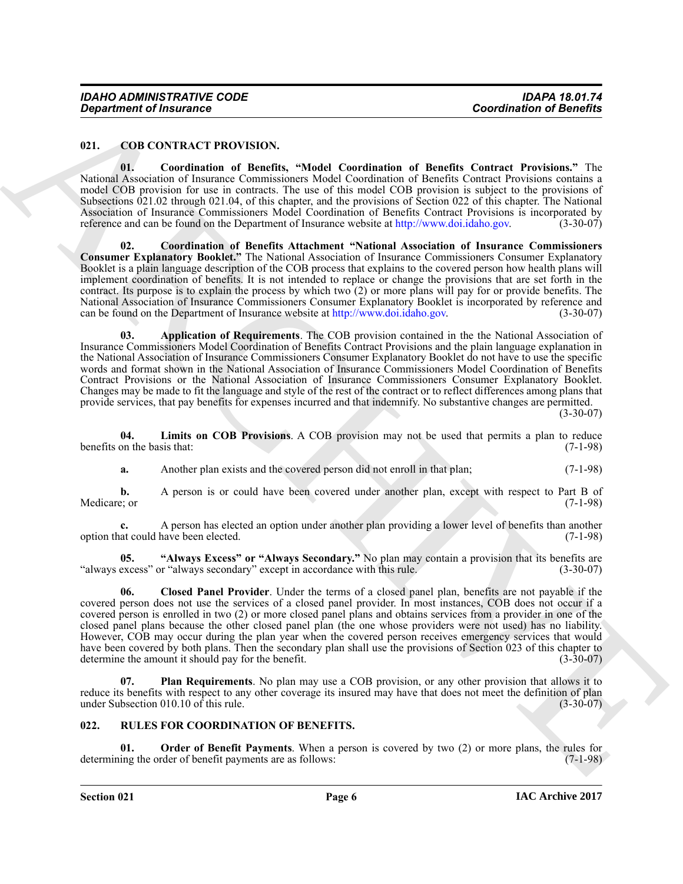#### <span id="page-5-2"></span><span id="page-5-0"></span>**021. COB CONTRACT PROVISION.**

<span id="page-5-7"></span>**01. Coordination of Benefits, "Model Coordination of Benefits Contract Provisions."** The National Association of Insurance Commissioners Model Coordination of Benefits Contract Provisions contains a model COB provision for use in contracts. The use of this model COB provision is subject to the provisions of Subsections 021.02 through 021.04, of this chapter, and the provisions of Section 022 of this chapter. The National Association of Insurance Commissioners Model Coordination of Benefits Contract Provisions is incorporated by reference and can be found on the Department of Insurance website at http://www.doi.idaho.gov. (3-30-07)

<span id="page-5-6"></span><span id="page-5-4"></span>**02. Coordination of Benefits Attachment "National Association of Insurance Commissioners Consumer Explanatory Booklet."** The National Association of Insurance Commissioners Consumer Explanatory Booklet is a plain language description of the COB process that explains to the covered person how health plans will implement coordination of benefits. It is not intended to replace or change the provisions that are set forth in the contract. Its purpose is to explain the process by which two (2) or more plans will pay for or provide benefits. The National Association of Insurance Commissioners Consumer Explanatory Booklet is incorporated by reference and can be found on the Department of Insurance website at http://www.doi.idaho.gov. (3-30-07) can be found on the Department of Insurance website at http://www.doi.idaho.gov.

**[C](http://www.doi.idaho.gov)ontinue of Francesco Control 1998** Constitution of Benefits of Benefits Control 1998 Construct Theorem 12.<br>
Valid Alton Construct The Construct Theorem 12. The Construction of Benefits Control 1998 Construct Theorem 12. **03. Application of Requirements**. The COB provision contained in the the National Association of Insurance Commissioners Model Coordination of Benefits Contract Provisions and the plain language explanation in the National Association of Insurance Commissioners Consumer Explanatory Booklet do not have to use the specific words and format shown in the National Association of Insurance Commissioners Model Coordination of Benefits Contract Provisions or the National Association of Insurance Commissioners Consumer Explanatory Booklet. Changes may be made to fit the language and style of the rest of the contract or to reflect differences among plans that provide services, that pay benefits for expenses incurred and that indemnify. No substantive changes are permitted.

 $(3-30-07)$ 

**04. Limits on COB Provisions**. A COB provision may not be used that permits a plan to reduce benefits on the basis that:

<span id="page-5-8"></span>**a.** Another plan exists and the covered person did not enroll in that plan; (7-1-98)

**b.** A person is or could have been covered under another plan, except with respect to Part B of Medicare; or (7-1-98) Medicare; or  $(7-1-98)$ 

**c.** A person has elected an option under another plan providing a lower level of benefits than another option that could have been elected. (7-1-98)

<span id="page-5-3"></span>**05. "Always Excess" or "Always Secondary."** No plan may contain a provision that its benefits are "always excess" or "always secondary" except in accordance with this rule.

<span id="page-5-5"></span>**06. Closed Panel Provider**. Under the terms of a closed panel plan, benefits are not payable if the covered person does not use the services of a closed panel provider. In most instances, COB does not occur if a covered person is enrolled in two (2) or more closed panel plans and obtains services from a provider in one of the closed panel plans because the other closed panel plan (the one whose providers were not used) has no liability. However, COB may occur during the plan year when the covered person receives emergency services that would have been covered by both plans. Then the secondary plan shall use the provisions of Section 023 of this chapter to determine the amount it should pay for the benefit. (3-30-07)

<span id="page-5-9"></span>**07. Plan Requirements**. No plan may use a COB provision, or any other provision that allows it to reduce its benefits with respect to any other coverage its insured may have that does not meet the definition of plan under Subsection 010.10 of this rule. (3-30-07)

#### <span id="page-5-10"></span><span id="page-5-1"></span>**022. RULES FOR COORDINATION OF BENEFITS.**

<span id="page-5-11"></span>**Order of Benefit Payments**. When a person is covered by two (2) or more plans, the rules for rder of benefit payments are as follows: determining the order of benefit payments are as follows: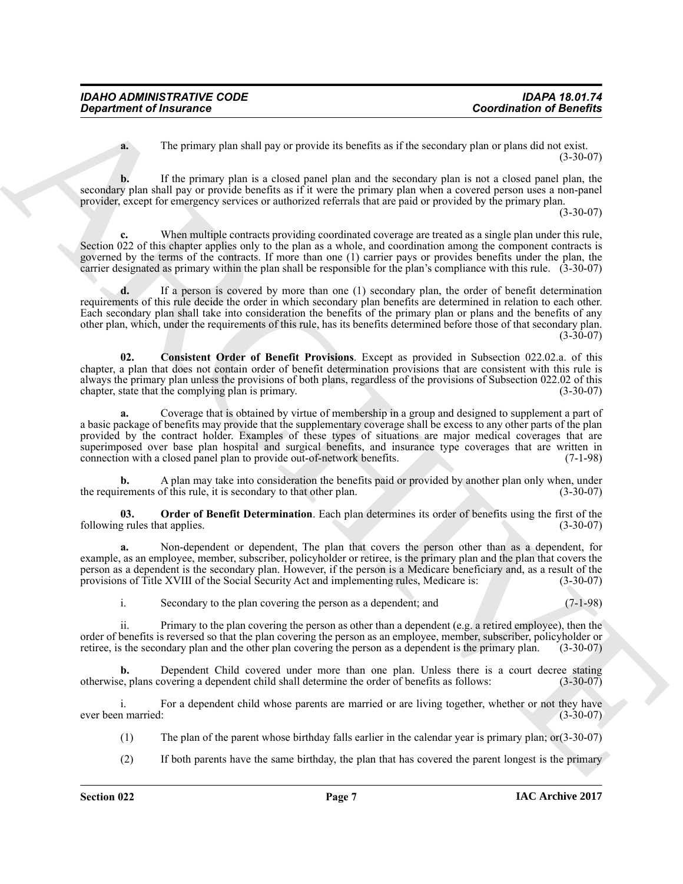**a.** The primary plan shall pay or provide its benefits as if the secondary plan or plans did not exist. (3-30-07)

**b.** If the primary plan is a closed panel plan and the secondary plan is not a closed panel plan, the secondary plan shall pay or provide benefits as if it were the primary plan when a covered person uses a non-panel provider, except for emergency services or authorized referrals that are paid or provided by the primary plan.

(3-30-07)

When multiple contracts providing coordinated coverage are treated as a single plan under this rule, Section 022 of this chapter applies only to the plan as a whole, and coordination among the component contracts is governed by the terms of the contracts. If more than one (1) carrier pays or provides benefits under the plan, the carrier designated as primary within the plan shall be responsible for the plan's compliance with this rule. (3-30-07)

**d.** If a person is covered by more than one (1) secondary plan, the order of benefit determination requirements of this rule decide the order in which secondary plan benefits are determined in relation to each other. Each secondary plan shall take into consideration the benefits of the primary plan or plans and the benefits of any other plan, which, under the requirements of this rule, has its benefits determined before those of that secondary plan.  $(3-30-07)$ 

<span id="page-6-0"></span>**02. Consistent Order of Benefit Provisions**. Except as provided in Subsection 022.02.a. of this chapter, a plan that does not contain order of benefit determination provisions that are consistent with this rule is always the primary plan unless the provisions of both plans, regardless of the provisions of Subsection 022.02 of this chapter, state that the complying plan is primary.

**Continues of fractions**<br>
The primary plan hald prop or preside to burdia as a flat encoded primary plan to the state of plan in the state of the state of the state of the state of the state of the state of the state of t **a.** Coverage that is obtained by virtue of membership in a group and designed to supplement a part of a basic package of benefits may provide that the supplementary coverage shall be excess to any other parts of the plan provided by the contract holder. Examples of these types of situations are major medical coverages that are superimposed over base plan hospital and surgical benefits, and insurance type coverages that are written in connection with a closed panel plan to provide out-of-network benefits. (7-1-98) connection with a closed panel plan to provide out-of-network benefits.

**b.** A plan may take into consideration the benefits paid or provided by another plan only when, under rements of this rule, it is secondary to that other plan. (3-30-07) the requirements of this rule, it is secondary to that other plan.

<span id="page-6-1"></span>**03. Order of Benefit Determination**. Each plan determines its order of benefits using the first of the grules that applies. (3-30-07) following rules that applies.

**a.** Non-dependent or dependent, The plan that covers the person other than as a dependent, for example, as an employee, member, subscriber, policyholder or retiree, is the primary plan and the plan that covers the person as a dependent is the secondary plan. However, if the person is a Medicare beneficiary and, as a result of the provisions of Title XVIII of the Social Security Act and implementing rules, Medicare is: (3-30-07) provisions of Title XVIII of the Social Security Act and implementing rules, Medicare is:

i. Secondary to the plan covering the person as a dependent; and (7-1-98)

ii. Primary to the plan covering the person as other than a dependent (e.g. a retired employee), then the order of benefits is reversed so that the plan covering the person as an employee, member, subscriber, policyholder or retiree, is the secondary plan and the other plan covering the person as a dependent is the primary pla retiree, is the secondary plan and the other plan covering the person as a dependent is the primary plan.

**b.** Dependent Child covered under more than one plan. Unless there is a court decree stating e, plans covering a dependent child shall determine the order of benefits as follows: (3-30-07) otherwise, plans covering a dependent child shall determine the order of benefits as follows: (3-30-07)

i. For a dependent child whose parents are married or are living together, whether or not they have narried: (3-30-07) ever been married:

- (1) The plan of the parent whose birthday falls earlier in the calendar year is primary plan; or(3-30-07)
- (2) If both parents have the same birthday, the plan that has covered the parent longest is the primary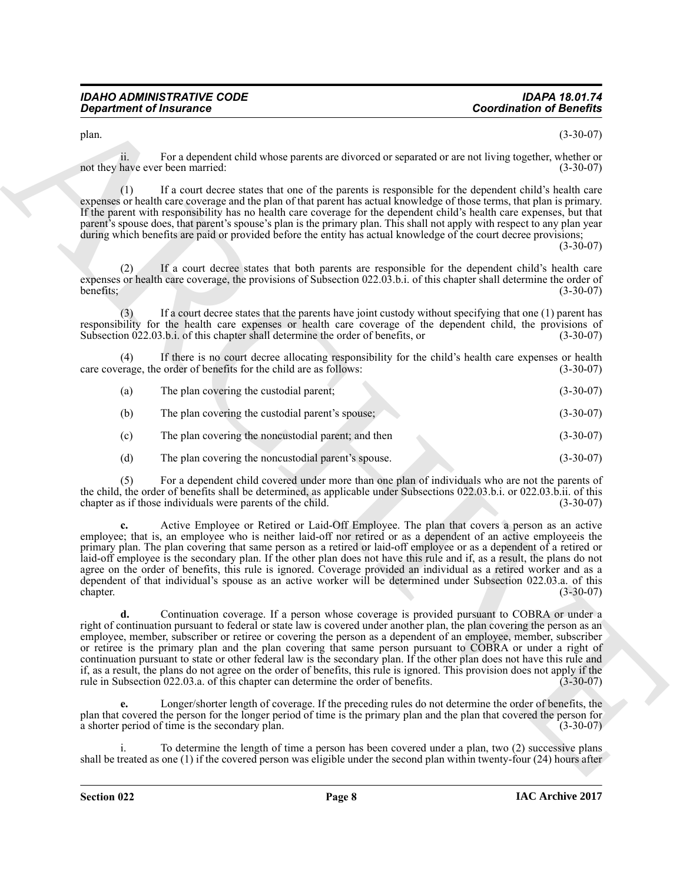plan. (3-30-07)

ii. For a dependent child whose parents are divorced or separated or are not living together, whether or have ever been married:  $(3-30-07)$ not they have ever been married:

(1) If a court decree states that one of the parents is responsible for the dependent child's health care expenses or health care coverage and the plan of that parent has actual knowledge of those terms, that plan is primary. If the parent with responsibility has no health care coverage for the dependent child's health care expenses, but that parent's spouse does, that parent's spouse's plan is the primary plan. This shall not apply with respect to any plan year during which benefits are paid or provided before the entity has actual knowledge of the court decree provisions;

 $(3-30-07)$ 

(2) If a court decree states that both parents are responsible for the dependent child's health care expenses or health care coverage, the provisions of Subsection 022.03.b.i. of this chapter shall determine the order of benefits;  $(3-30-07)$ 

(3) If a court decree states that the parents have joint custody without specifying that one (1) parent has responsibility for the health care expenses or health care coverage of the dependent child, the provisions of Subsection 022.03.b.i. of this chapter shall determine the order of benefits, or (3-30-07) Subsection  $022.03.b.i.$  of this chapter shall determine the order of benefits, or

(4) If there is no court decree allocating responsibility for the child's health care expenses or health range, the order of benefits for the child are as follows: (3-30-07) care coverage, the order of benefits for the child are as follows:

| (a) | The plan covering the custodial parent; | $(3-30-07)$     |
|-----|-----------------------------------------|-----------------|
|     |                                         | (0, 0, 0, 0, 0) |

(b) The plan covering the custodial parent's spouse; (3-30-07)

- (c) The plan covering the noncustodial parent; and then (3-30-07)
- (d) The plan covering the noncustodial parent's spouse. (3-30-07)

(5) For a dependent child covered under more than one plan of individuals who are not the parents of the child, the order of benefits shall be determined, as applicable under Subsections 022.03.b.i. or 022.03.b.ii. of this chapter as if those individuals were parents of the child. (3-30-07)

**Continue of fractaments**<br>
Section of the state of the state of the state of the state of the state of the state of the state of the state of the state of the state of the state of the state of the state of the state of t **c.** Active Employee or Retired or Laid-Off Employee. The plan that covers a person as an active employee; that is, an employee who is neither laid-off nor retired or as a dependent of an active employeeis the primary plan. The plan covering that same person as a retired or laid-off employee or as a dependent of a retired or laid-off employee is the secondary plan. If the other plan does not have this rule and if, as a result, the plans do not agree on the order of benefits, this rule is ignored. Coverage provided an individual as a retired worker and as a dependent of that individual's spouse as an active worker will be determined under Subsection 022.03.a. of this chapter. (3-30-07)  $\alpha$ chapter.  $(3-30-07)$ 

**d.** Continuation coverage. If a person whose coverage is provided pursuant to COBRA or under a right of continuation pursuant to federal or state law is covered under another plan, the plan covering the person as an employee, member, subscriber or retiree or covering the person as a dependent of an employee, member, subscriber or retiree is the primary plan and the plan covering that same person pursuant to COBRA or under a right of continuation pursuant to state or other federal law is the secondary plan. If the other plan does not have this rule and if, as a result, the plans do not agree on the order of benefits, this rule is ignored. This provision does not apply if the rule in Subsection 022.03.a. of this chapter can determine the order of benefits.

**e.** Longer/shorter length of coverage. If the preceding rules do not determine the order of benefits, the plan that covered the person for the longer period of time is the primary plan and the plan that covered the person for a shorter period of time is the secondary plan. (3-30-07) a shorter period of time is the secondary plan.

To determine the length of time a person has been covered under a plan, two (2) successive plans shall be treated as one (1) if the covered person was eligible under the second plan within twenty-four (24) hours after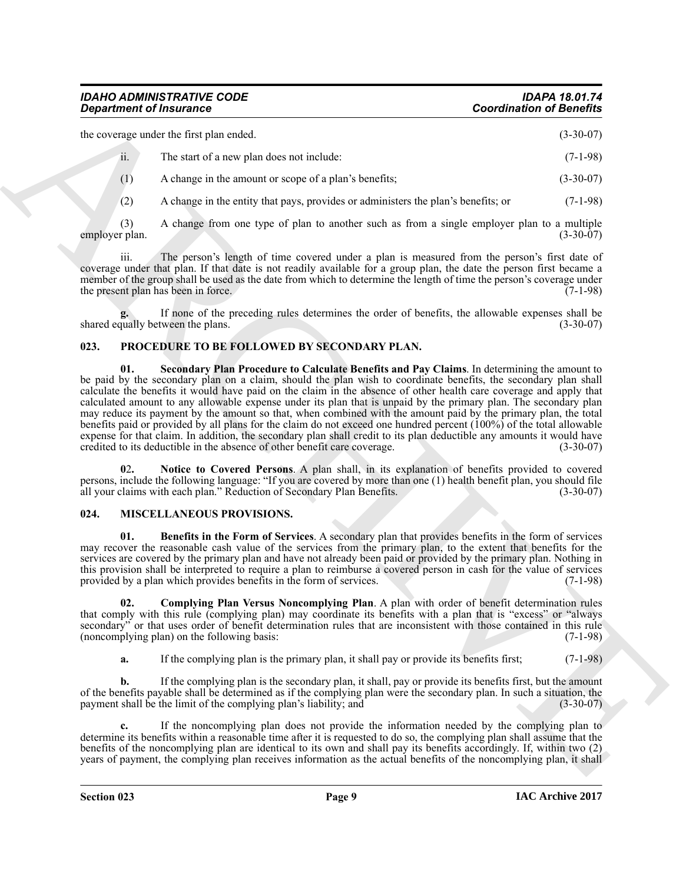#### *IDAHO ADMINISTRATIVE CODE IDAPA 18.01.74 Department of Insurance*

|     | the coverage under the first plan ended.              | $(3-30-07)$ |
|-----|-------------------------------------------------------|-------------|
| ii. | The start of a new plan does not include:             | $(7-1-98)$  |
|     | A change in the amount or scope of a plan's benefits; | $(3-30-07)$ |

(2) A change in the entity that pays, provides or administers the plan's benefits; or (7-1-98)

(3) A change from one type of plan to another such as from a single employer plan to a multiple employer plan. (3-30-07)

iii. The person's length of time covered under a plan is measured from the person's first date of coverage under that plan. If that date is not readily available for a group plan, the date the person first became a member of the group shall be used as the date from which to determine the length of time the person's coverage under the present plan has been in force. (7-1-98)

If none of the preceding rules determines the order of benefits, the allowable expenses shall be tween the plans. (3-30-07) shared equally between the plans.

#### <span id="page-8-7"></span><span id="page-8-5"></span><span id="page-8-0"></span>**023. PROCEDURE TO BE FOLLOWED BY SECONDARY PLAN.**

**Continuation of Francoise Continuation 10**<br>
the correction of the latin plane and solid (3.10). A clean time and solid (3.10) A clean time and the state of the state of the state of the state of the state of the state of **01. Secondary Plan Procedure to Calculate Benefits and Pay Claims**. In determining the amount to be paid by the secondary plan on a claim, should the plan wish to coordinate benefits, the secondary plan shall calculate the benefits it would have paid on the claim in the absence of other health care coverage and apply that calculated amount to any allowable expense under its plan that is unpaid by the primary plan. The secondary plan may reduce its payment by the amount so that, when combined with the amount paid by the primary plan, the total benefits paid or provided by all plans for the claim do not exceed one hundred percent (100%) of the total allowable expense for that claim. In addition, the secondary plan shall credit to its plan deductible any amounts it would have credited to its deductible in the absence of other benefit care coverage. (3-30-07) credited to its deductible in the absence of other benefit care coverage.

<span id="page-8-8"></span><span id="page-8-6"></span>**0**2**. Notice to Covered Persons**. A plan shall, in its explanation of benefits provided to covered persons, include the following language: "If you are covered by more than one (1) health benefit plan, you should file all your claims with each plan." Reduction of Secondary Plan Benefits.

#### <span id="page-8-2"></span><span id="page-8-1"></span>**024. MISCELLANEOUS PROVISIONS.**

<span id="page-8-3"></span>**01. Benefits in the Form of Services**. A secondary plan that provides benefits in the form of services may recover the reasonable cash value of the services from the primary plan, to the extent that benefits for the services are covered by the primary plan and have not already been paid or provided by the primary plan. Nothing in this provision shall be interpreted to require a plan to reimburse a covered person in cash for the value of services provided by a plan which provides benefits in the form of services. provided by a plan which provides benefits in the form of services.

**02. Complying Plan Versus Noncomplying Plan**. A plan with order of benefit determination rules that comply with this rule (complying plan) may coordinate its benefits with a plan that is "excess" or "always secondary" or that uses order of benefit determination rules that are inconsistent with those contained in this rule<br>(noncomplying plan) on the following basis: (noncomplying plan) on the following basis:

<span id="page-8-4"></span>**a.** If the complying plan is the primary plan, it shall pay or provide its benefits first; (7-1-98)

**b.** If the complying plan is the secondary plan, it shall, pay or provide its benefits first, but the amount of the benefits payable shall be determined as if the complying plan were the secondary plan. In such a situation, the payment shall be the limit of the complying plan's liability; and (3-30-07)

If the noncomplying plan does not provide the information needed by the complying plan to determine its benefits within a reasonable time after it is requested to do so, the complying plan shall assume that the benefits of the noncomplying plan are identical to its own and shall pay its benefits accordingly. If, within two (2) years of payment, the complying plan receives information as the actual benefits of the noncomplying plan, it shall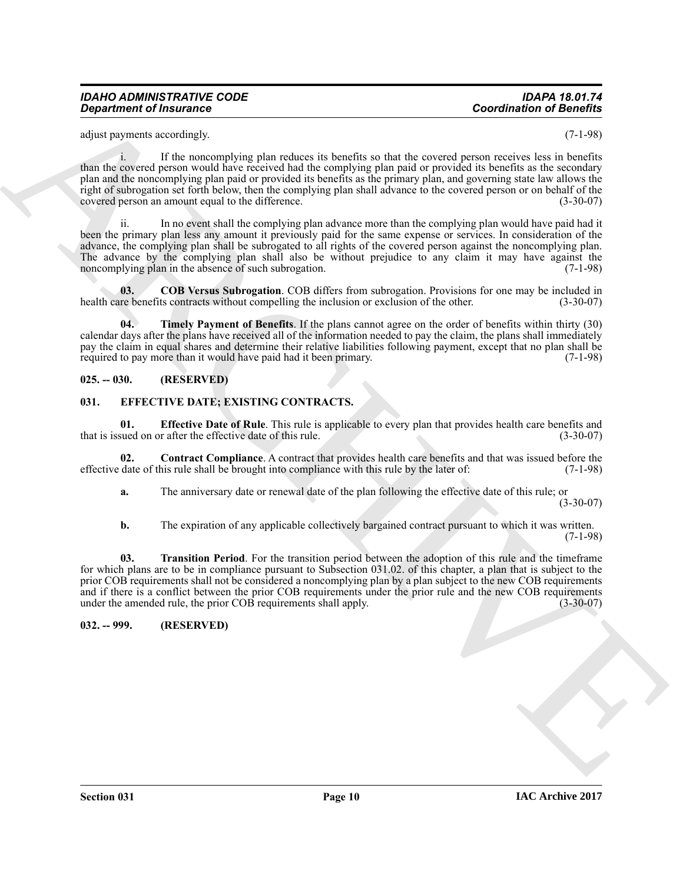adjust payments accordingly. (7-1-98)

If the noncomplying plan reduces its benefits so that the covered person receives less in benefits than the covered person would have received had the complying plan paid or provided its benefits as the secondary plan and the noncomplying plan paid or provided its benefits as the primary plan, and governing state law allows the right of subrogation set forth below, then the complying plan shall advance to the covered person or on behalf of the covered person an amount equal to the difference. covered person an amount equal to the difference.

**Continues are computed as a continue of the continue of the continue of the continue of the continue of the continue of the continue of the continue of the continue of the continue of the continue of the continue of the** ii. In no event shall the complying plan advance more than the complying plan would have paid had it been the primary plan less any amount it previously paid for the same expense or services. In consideration of the advance, the complying plan shall be subrogated to all rights of the covered person against the noncomplying plan. The advance by the complying plan shall also be without prejudice to any claim it may have against the noncomplying plan in the absence of such subrogation.  $(7-1-98)$ noncomplying plan in the absence of such subrogation.

<span id="page-9-7"></span>**03. COB Versus Subrogation**. COB differs from subrogation. Provisions for one may be included in re benefits contracts without compelling the inclusion or exclusion of the other. (3-30-07) health care benefits contracts without compelling the inclusion or exclusion of the other.

<span id="page-9-8"></span>**04. Timely Payment of Benefits**. If the plans cannot agree on the order of benefits within thirty (30) calendar days after the plans have received all of the information needed to pay the claim, the plans shall immediately pay the claim in equal shares and determine their relative liabilities following payment, except that no plan shall be required to pay more than it would have paid had it been primary. (7-1-98)

#### <span id="page-9-0"></span>**025. -- 030. (RESERVED)**

#### <span id="page-9-3"></span><span id="page-9-1"></span>**031. EFFECTIVE DATE; EXISTING CONTRACTS.**

<span id="page-9-5"></span>**01. Effective Date of Rule**. This rule is applicable to every plan that provides health care benefits and sued on or after the effective date of this rule. (3-30-07) that is issued on or after the effective date of this rule.

**02. Contract Compliance**. A contract that provides health care benefits and that was issued before the date of this rule shall be brought into compliance with this rule by the later of: (7-1-98) effective date of this rule shall be brought into compliance with this rule by the later of:

<span id="page-9-4"></span>**a.** The anniversary date or renewal date of the plan following the effective date of this rule; or

(3-30-07)

<span id="page-9-6"></span>**b.** The expiration of any applicable collectively bargained contract pursuant to which it was written. (7-1-98)

**03. Transition Period**. For the transition period between the adoption of this rule and the timeframe for which plans are to be in compliance pursuant to Subsection 031.02. of this chapter, a plan that is subject to the prior COB requirements shall not be considered a noncomplying plan by a plan subject to the new COB requirements and if there is a conflict between the prior COB requirements under the prior rule and the new COB requirements under the amended rule, the prior COB requirements shall apply. (3-30-07)

<span id="page-9-2"></span>**032. -- 999. (RESERVED)**